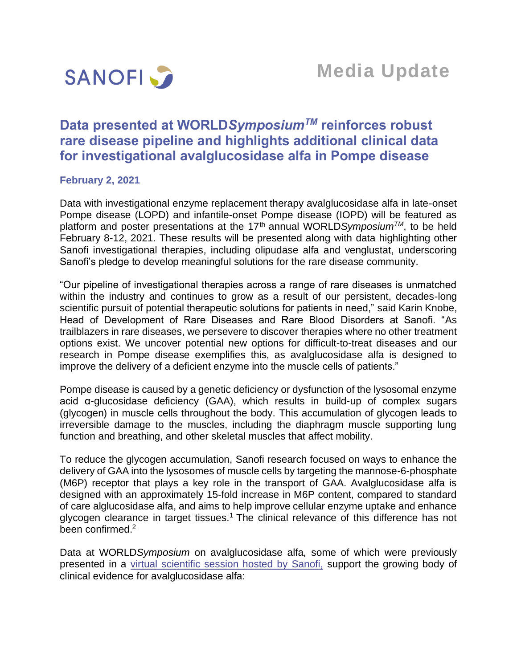

# **Data presented at WORLD***SymposiumTM* **reinforces robust rare disease pipeline and highlights additional clinical data for investigational avalglucosidase alfa in Pompe disease**

# **February 2, 2021**

Data with investigational enzyme replacement therapy avalglucosidase alfa in late-onset Pompe disease (LOPD) and infantile-onset Pompe disease (IOPD) will be featured as platform and poster presentations at the 17<sup>th</sup> annual WORLD*Symposium<sup>™</sup>*, to be held February 8-12, 2021. These results will be presented along with data highlighting other Sanofi investigational therapies, including olipudase alfa and venglustat, underscoring Sanofi's pledge to develop meaningful solutions for the rare disease community.

"Our pipeline of investigational therapies across a range of rare diseases is unmatched within the industry and continues to grow as a result of our persistent, decades-long scientific pursuit of potential therapeutic solutions for patients in need," said Karin Knobe, Head of Development of Rare Diseases and Rare Blood Disorders at Sanofi. "As trailblazers in rare diseases, we persevere to discover therapies where no other treatment options exist. We uncover potential new options for difficult-to-treat diseases and our research in Pompe disease exemplifies this, as avalglucosidase alfa is designed to improve the delivery of a deficient enzyme into the muscle cells of patients."

Pompe disease is caused by a genetic deficiency or dysfunction of the lysosomal enzyme acid α-glucosidase deficiency (GAA), which results in build-up of complex sugars (glycogen) in muscle cells throughout the body. This accumulation of glycogen leads to irreversible damage to the muscles, including the diaphragm muscle supporting lung function and breathing, and other skeletal muscles that affect mobility.

To reduce the glycogen accumulation, Sanofi research focused on ways to enhance the delivery of GAA into the lysosomes of muscle cells by targeting the mannose-6-phosphate (M6P) receptor that plays a key role in the transport of GAA. Avalglucosidase alfa is designed with an approximately 15-fold increase in M6P content, compared to standard of care alglucosidase alfa, and aims to help improve cellular enzyme uptake and enhance glycogen clearance in target tissues.<sup>1</sup> The clinical relevance of this difference has not been confirmed.<sup>2</sup>

Data at WORLD*Symposium* on avalglucosidase alfa*,* some of which were previously presented in a virtual scientific [session hosted by Sanofi,](https://www.sanofi.com/en/media-room/press-releases/2020/2020-06-16-14-00-00) support the growing body of clinical evidence for avalglucosidase alfa: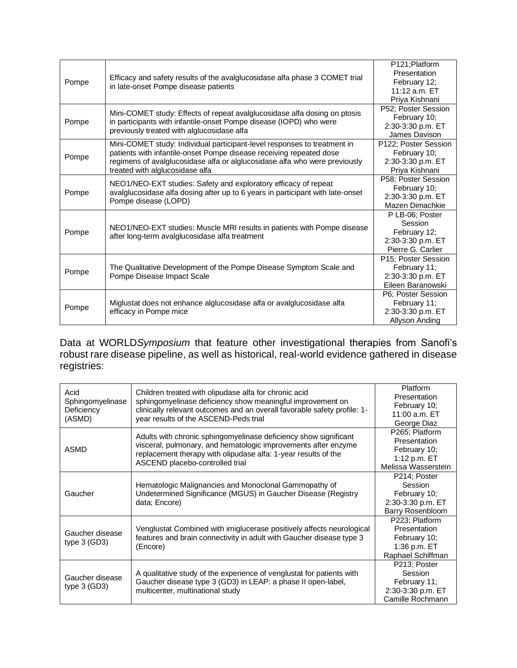| Pompe | Efficacy and safety results of the avalglucosidase alfa phase 3 COMET trial<br>in late-onset Pompe disease patients                                                                                                                                              | P121;Platform        |
|-------|------------------------------------------------------------------------------------------------------------------------------------------------------------------------------------------------------------------------------------------------------------------|----------------------|
|       |                                                                                                                                                                                                                                                                  | Presentation         |
|       |                                                                                                                                                                                                                                                                  | February 12;         |
|       |                                                                                                                                                                                                                                                                  | $11:12$ a.m. $ET$    |
|       |                                                                                                                                                                                                                                                                  | Priya Kishnani       |
| Pompe | Mini-COMET study: Effects of repeat avalglucosidase alfa dosing on ptosis<br>in participants with infantile-onset Pompe disease (IOPD) who were<br>previously treated with alglucosidase alfa                                                                    | P52; Poster Session  |
|       |                                                                                                                                                                                                                                                                  | February 10;         |
|       |                                                                                                                                                                                                                                                                  | 2:30-3:30 p.m. ET    |
|       |                                                                                                                                                                                                                                                                  | James Davison        |
| Pompe | Mini-COMET study: Individual participant-level responses to treatment in<br>patients with infantile-onset Pompe disease receiving repeated dose<br>regimens of avalglucosidase alfa or alglucosidase alfa who were previously<br>treated with alglucosidase alfa | P122; Poster Session |
|       |                                                                                                                                                                                                                                                                  | February 10;         |
|       |                                                                                                                                                                                                                                                                  | 2:30-3:30 p.m. ET    |
|       |                                                                                                                                                                                                                                                                  | Priya Kishnani       |
|       | NEO1/NEO-EXT studies: Safety and exploratory efficacy of repeat<br>avalglucosidase alfa dosing after up to 6 years in participant with late-onset<br>Pompe disease (LOPD)                                                                                        | P58; Poster Session  |
| Pompe |                                                                                                                                                                                                                                                                  | February 10;         |
|       |                                                                                                                                                                                                                                                                  | 2:30-3:30 p.m. ET    |
|       |                                                                                                                                                                                                                                                                  | Mazen Dimachkie      |
|       | NEO1/NEO-EXT studies: Muscle MRI results in patients with Pompe disease<br>after long-term avalglucosidase alfa treatment                                                                                                                                        | P LB-06; Poster      |
|       |                                                                                                                                                                                                                                                                  | Session              |
| Pompe |                                                                                                                                                                                                                                                                  | February 12;         |
|       |                                                                                                                                                                                                                                                                  | 2:30-3:30 p.m. ET    |
|       |                                                                                                                                                                                                                                                                  | Pierre G. Carlier    |
| Pompe | The Qualitative Development of the Pompe Disease Symptom Scale and<br>Pompe Disease Impact Scale                                                                                                                                                                 | P15; Poster Session  |
|       |                                                                                                                                                                                                                                                                  | February 11;         |
|       |                                                                                                                                                                                                                                                                  | 2:30-3:30 p.m. ET    |
|       |                                                                                                                                                                                                                                                                  | Eileen Baranowski    |
| Pompe | Miglustat does not enhance alglucosidase alfa or avalglucosidase alfa<br>efficacy in Pompe mice                                                                                                                                                                  | P6; Poster Session   |
|       |                                                                                                                                                                                                                                                                  | February 11;         |
|       |                                                                                                                                                                                                                                                                  | 2:30-3:30 p.m. ET    |
|       |                                                                                                                                                                                                                                                                  | Allyson Anding       |

Data at WORLD*Symposium* that feature other investigational therapies from Sanofi's robust rare disease pipeline, as well as historical, real-world evidence gathered in disease registries:

| Acid<br>Sphingomyelinase<br>Deficiency<br>(ASMD) | Children treated with olipudase alfa for chronic acid<br>sphingomyelinase deficiency show meaningful improvement on<br>clinically relevant outcomes and an overall favorable safety profile: 1-<br>year results of the ASCEND-Peds trial | <b>Platform</b><br><b>Presentation</b><br>February 10;<br>11:00 a.m. ET<br>George Diaz |
|--------------------------------------------------|------------------------------------------------------------------------------------------------------------------------------------------------------------------------------------------------------------------------------------------|----------------------------------------------------------------------------------------|
| <b>ASMD</b>                                      | Adults with chronic sphingomyelinase deficiency show significant<br>visceral, pulmonary, and hematologic improvements after enzyme<br>replacement therapy with olipudase alfa: 1-year results of the<br>ASCEND placebo-controlled trial  | P265; Platform<br>Presentation<br>February 10;<br>1:12 p.m. ET<br>Melissa Wasserstein  |
| Gaucher                                          | Hematologic Malignancies and Monoclonal Gammopathy of<br>Undetermined Significance (MGUS) in Gaucher Disease (Registry<br>data; Encore)                                                                                                  | P214; Poster<br>Session<br>February 10;<br>2:30-3:30 p.m. ET<br>Barry Rosenbloom       |
| Gaucher disease<br>type $3$ (GD3)                | Venglustat Combined with imiglucerase positively affects neurological<br>features and brain connectivity in adult with Gaucher disease type 3<br>(Encore)                                                                                | P223; Platform<br>Presentation<br>February 10;<br>1:36 p.m. ET<br>Raphael Schiffman    |
| Gaucher disease<br>type $3$ (GD3)                | A qualitative study of the experience of venglustat for patients with<br>Gaucher disease type 3 (GD3) in LEAP: a phase II open-label,<br>multicenter, multinational study                                                                | P213; Poster<br>Session<br>February 11;<br>2:30-3:30 p.m. ET<br>Camille Rochmann       |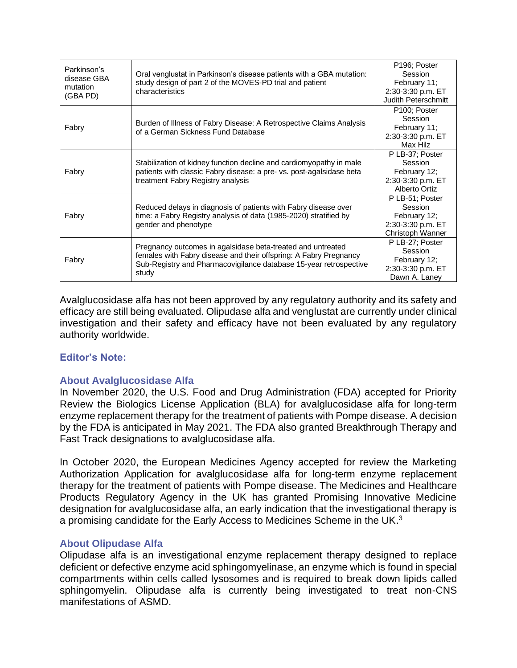| Parkinson's<br>disease GBA<br>mutation<br>(GBA PD) | Oral venglustat in Parkinson's disease patients with a GBA mutation:<br>study design of part 2 of the MOVES-PD trial and patient<br>characteristics                                                            | P196; Poster<br>Session<br>February 11;<br>2:30-3:30 p.m. ET<br><b>Judith Peterschmitt</b> |
|----------------------------------------------------|----------------------------------------------------------------------------------------------------------------------------------------------------------------------------------------------------------------|--------------------------------------------------------------------------------------------|
| Fabry                                              | Burden of Illness of Fabry Disease: A Retrospective Claims Analysis<br>of a German Sickness Fund Database                                                                                                      | P <sub>100</sub> ; Poster<br>Session<br>February 11;<br>2:30-3:30 p.m. ET<br>Max Hilz      |
| Fabry                                              | Stabilization of kidney function decline and cardiomyopathy in male<br>patients with classic Fabry disease: a pre- vs. post-agalsidase beta<br>treatment Fabry Registry analysis                               | P LB-37; Poster<br>Session<br>February 12;<br>2:30-3:30 p.m. ET<br>Alberto Ortiz           |
| Fabry                                              | Reduced delays in diagnosis of patients with Fabry disease over<br>time: a Fabry Registry analysis of data (1985-2020) stratified by<br>gender and phenotype                                                   | P LB-51; Poster<br>Session<br>February 12;<br>2:30-3:30 p.m. ET<br>Christoph Wanner        |
| Fabry                                              | Pregnancy outcomes in agalsidase beta-treated and untreated<br>females with Fabry disease and their offspring: A Fabry Pregnancy<br>Sub-Registry and Pharmacovigilance database 15-year retrospective<br>study | P LB-27; Poster<br>Session<br>February 12;<br>2:30-3:30 p.m. ET<br>Dawn A. Laney           |

Avalglucosidase alfa has not been approved by any regulatory authority and its safety and efficacy are still being evaluated. Olipudase alfa and venglustat are currently under clinical investigation and their safety and efficacy have not been evaluated by any regulatory authority worldwide.

# **Editor's Note:**

# **About Avalglucosidase Alfa**

In November 2020, the U.S. Food and Drug Administration (FDA) accepted for Priority Review the Biologics License Application (BLA) for avalglucosidase alfa for long-term enzyme replacement therapy for the treatment of patients with Pompe disease. A decision by the FDA is anticipated in May 2021. The FDA also granted Breakthrough Therapy and Fast Track designations to avalglucosidase alfa.

In October 2020, the European Medicines Agency accepted for review the Marketing Authorization Application for avalglucosidase alfa for long-term enzyme replacement therapy for the treatment of patients with Pompe disease. The Medicines and Healthcare Products Regulatory Agency in the UK has granted Promising Innovative Medicine designation for avalglucosidase alfa, an early indication that the investigational therapy is a promising candidate for the Early Access to Medicines Scheme in the UK. $3$ 

# **About Olipudase Alfa**

Olipudase alfa is an investigational enzyme replacement therapy designed to replace deficient or defective enzyme acid sphingomyelinase, an enzyme which is found in special compartments within cells called lysosomes and is required to break down lipids called sphingomyelin. Olipudase alfa is currently being investigated to treat non-CNS manifestations of ASMD.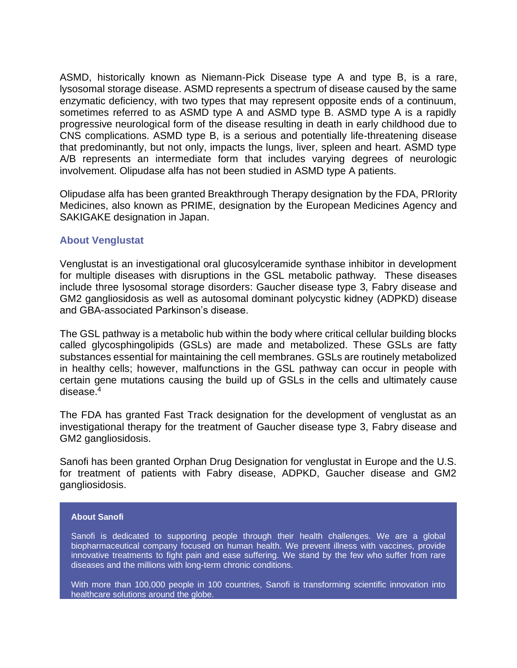ASMD, historically known as Niemann-Pick Disease type A and type B, is a rare, lysosomal storage disease. ASMD represents a spectrum of disease caused by the same enzymatic deficiency, with two types that may represent opposite ends of a continuum, sometimes referred to as ASMD type A and ASMD type B. ASMD type A is a rapidly progressive neurological form of the disease resulting in death in early childhood due to CNS complications. ASMD type B, is a serious and potentially life-threatening disease that predominantly, but not only, impacts the lungs, liver, spleen and heart. ASMD type A/B represents an intermediate form that includes varying degrees of neurologic involvement. Olipudase alfa has not been studied in ASMD type A patients.

Olipudase alfa has been granted Breakthrough Therapy designation by the FDA, PRIority Medicines, also known as PRIME, designation by the European Medicines Agency and SAKIGAKE designation in Japan.

#### **About Venglustat**

Venglustat is an investigational oral glucosylceramide synthase inhibitor in development for multiple diseases with disruptions in the GSL metabolic pathway. These diseases include three lysosomal storage disorders: Gaucher disease type 3, Fabry disease and GM2 gangliosidosis as well as autosomal dominant polycystic kidney (ADPKD) disease and GBA-associated Parkinson's disease.

The GSL pathway is a metabolic hub within the body where critical cellular building blocks called glycosphingolipids (GSLs) are made and metabolized. These GSLs are fatty substances essential for maintaining the cell membranes. GSLs are routinely metabolized in healthy cells; however, malfunctions in the GSL pathway can occur in people with certain gene mutations causing the build up of GSLs in the cells and ultimately cause disease.<sup>4</sup>

The FDA has granted Fast Track designation for the development of venglustat as an investigational therapy for the treatment of Gaucher disease type 3, Fabry disease and GM2 gangliosidosis.

Sanofi has been granted Orphan Drug Designation for venglustat in Europe and the U.S. for treatment of patients with Fabry disease, ADPKD, Gaucher disease and GM2 gangliosidosis.

#### **About Sanofi**

Sanofi is dedicated to supporting people through their health challenges. We are a global biopharmaceutical company focused on human health. We prevent illness with vaccines, provide innovative treatments to fight pain and ease suffering. We stand by the few who suffer from rare diseases and the millions with long-term chronic conditions.

With more than 100,000 people in 100 countries, Sanofi is transforming scientific innovation into healthcare solutions around the globe.